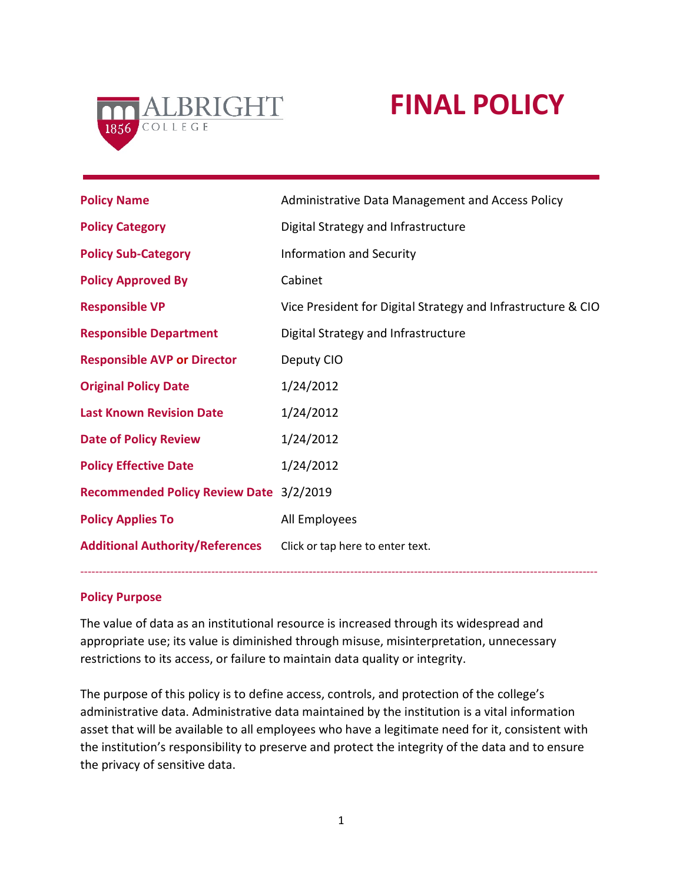

# **FINAL POLICY**

| <b>Policy Name</b>                      | Administrative Data Management and Access Policy             |
|-----------------------------------------|--------------------------------------------------------------|
| <b>Policy Category</b>                  | Digital Strategy and Infrastructure                          |
| <b>Policy Sub-Category</b>              | <b>Information and Security</b>                              |
| <b>Policy Approved By</b>               | Cabinet                                                      |
| <b>Responsible VP</b>                   | Vice President for Digital Strategy and Infrastructure & CIO |
| <b>Responsible Department</b>           | Digital Strategy and Infrastructure                          |
| <b>Responsible AVP or Director</b>      | Deputy CIO                                                   |
| <b>Original Policy Date</b>             | 1/24/2012                                                    |
| <b>Last Known Revision Date</b>         | 1/24/2012                                                    |
| <b>Date of Policy Review</b>            | 1/24/2012                                                    |
| <b>Policy Effective Date</b>            | 1/24/2012                                                    |
| Recommended Policy Review Date 3/2/2019 |                                                              |
| <b>Policy Applies To</b>                | All Employees                                                |
| <b>Additional Authority/References</b>  | Click or tap here to enter text.                             |
|                                         |                                                              |

#### **Policy Purpose**

The value of data as an institutional resource is increased through its widespread and appropriate use; its value is diminished through misuse, misinterpretation, unnecessary restrictions to its access, or failure to maintain data quality or integrity.

------------------------------------------------------------------------------------------------------------------------------------------

The purpose of this policy is to define access, controls, and protection of the college's administrative data. Administrative data maintained by the institution is a vital information asset that will be available to all employees who have a legitimate need for it, consistent with the institution's responsibility to preserve and protect the integrity of the data and to ensure the privacy of sensitive data.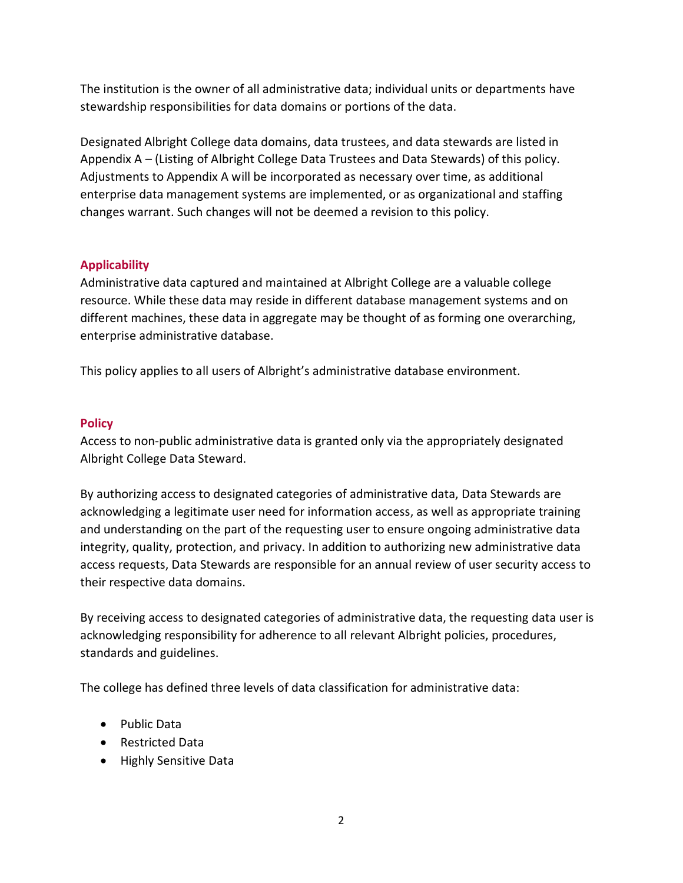The institution is the owner of all administrative data; individual units or departments have stewardship responsibilities for data domains or portions of the data.

Designated Albright College data domains, data trustees, and data stewards are listed in Appendix A – (Listing of Albright College Data Trustees and Data Stewards) of this policy. Adjustments to Appendix A will be incorporated as necessary over time, as additional enterprise data management systems are implemented, or as organizational and staffing changes warrant. Such changes will not be deemed a revision to this policy.

### **Applicability**

Administrative data captured and maintained at Albright College are a valuable college resource. While these data may reside in different database management systems and on different machines, these data in aggregate may be thought of as forming one overarching, enterprise administrative database.

This policy applies to all users of Albright's administrative database environment.

### **Policy**

Access to non-public administrative data is granted only via the appropriately designated Albright College Data Steward.

By authorizing access to designated categories of administrative data, Data Stewards are acknowledging a legitimate user need for information access, as well as appropriate training and understanding on the part of the requesting user to ensure ongoing administrative data integrity, quality, protection, and privacy. In addition to authorizing new administrative data access requests, Data Stewards are responsible for an annual review of user security access to their respective data domains.

By receiving access to designated categories of administrative data, the requesting data user is acknowledging responsibility for adherence to all relevant Albright policies, procedures, standards and guidelines.

The college has defined three levels of data classification for administrative data:

- Public Data
- Restricted Data
- Highly Sensitive Data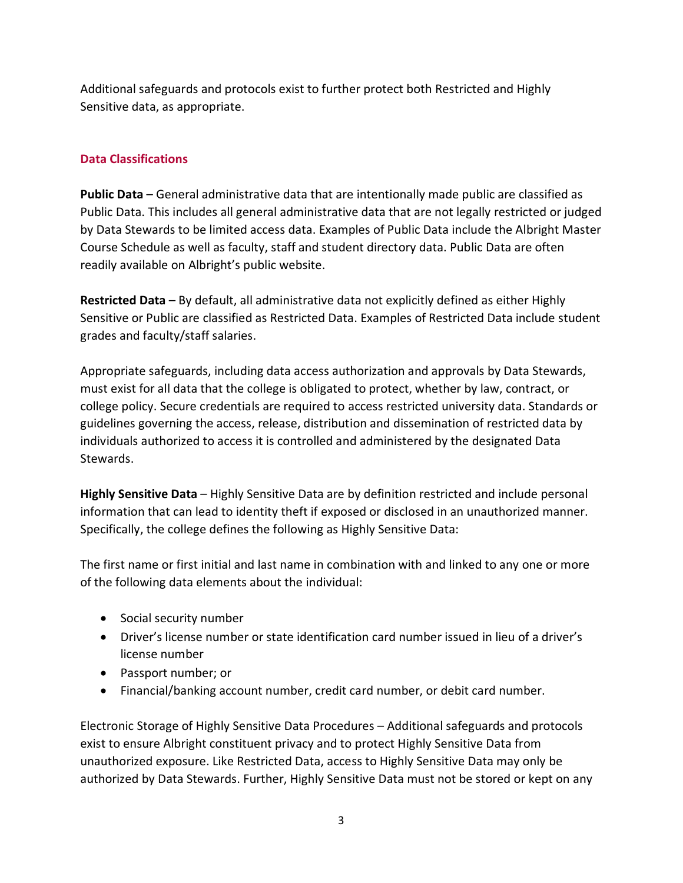Additional safeguards and protocols exist to further protect both Restricted and Highly Sensitive data, as appropriate.

## **Data Classifications**

**Public Data** – General administrative data that are intentionally made public are classified as Public Data. This includes all general administrative data that are not legally restricted or judged by Data Stewards to be limited access data. Examples of Public Data include the Albright Master Course Schedule as well as faculty, staff and student directory data. Public Data are often readily available on Albright's public website.

**Restricted Data** – By default, all administrative data not explicitly defined as either Highly Sensitive or Public are classified as Restricted Data. Examples of Restricted Data include student grades and faculty/staff salaries.

Appropriate safeguards, including data access authorization and approvals by Data Stewards, must exist for all data that the college is obligated to protect, whether by law, contract, or college policy. Secure credentials are required to access restricted university data. Standards or guidelines governing the access, release, distribution and dissemination of restricted data by individuals authorized to access it is controlled and administered by the designated Data Stewards.

**Highly Sensitive Data** – Highly Sensitive Data are by definition restricted and include personal information that can lead to identity theft if exposed or disclosed in an unauthorized manner. Specifically, the college defines the following as Highly Sensitive Data:

The first name or first initial and last name in combination with and linked to any one or more of the following data elements about the individual:

- Social security number
- Driver's license number or state identification card number issued in lieu of a driver's license number
- Passport number; or
- Financial/banking account number, credit card number, or debit card number.

Electronic Storage of Highly Sensitive Data Procedures – Additional safeguards and protocols exist to ensure Albright constituent privacy and to protect Highly Sensitive Data from unauthorized exposure. Like Restricted Data, access to Highly Sensitive Data may only be authorized by Data Stewards. Further, Highly Sensitive Data must not be stored or kept on any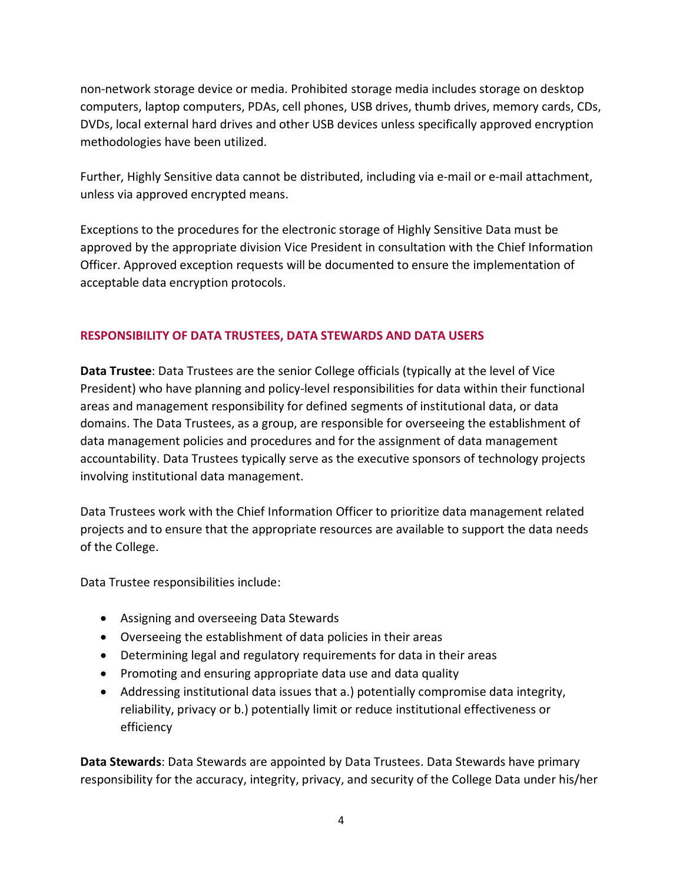non-network storage device or media. Prohibited storage media includes storage on desktop computers, laptop computers, PDAs, cell phones, USB drives, thumb drives, memory cards, CDs, DVDs, local external hard drives and other USB devices unless specifically approved encryption methodologies have been utilized.

Further, Highly Sensitive data cannot be distributed, including via e-mail or e-mail attachment, unless via approved encrypted means.

Exceptions to the procedures for the electronic storage of Highly Sensitive Data must be approved by the appropriate division Vice President in consultation with the Chief Information Officer. Approved exception requests will be documented to ensure the implementation of acceptable data encryption protocols.

### **RESPONSIBILITY OF DATA TRUSTEES, DATA STEWARDS AND DATA USERS**

**Data Trustee**: Data Trustees are the senior College officials (typically at the level of Vice President) who have planning and policy-level responsibilities for data within their functional areas and management responsibility for defined segments of institutional data, or data domains. The Data Trustees, as a group, are responsible for overseeing the establishment of data management policies and procedures and for the assignment of data management accountability. Data Trustees typically serve as the executive sponsors of technology projects involving institutional data management.

Data Trustees work with the Chief Information Officer to prioritize data management related projects and to ensure that the appropriate resources are available to support the data needs of the College.

Data Trustee responsibilities include:

- Assigning and overseeing Data Stewards
- Overseeing the establishment of data policies in their areas
- Determining legal and regulatory requirements for data in their areas
- Promoting and ensuring appropriate data use and data quality
- Addressing institutional data issues that a.) potentially compromise data integrity, reliability, privacy or b.) potentially limit or reduce institutional effectiveness or efficiency

**Data Stewards**: Data Stewards are appointed by Data Trustees. Data Stewards have primary responsibility for the accuracy, integrity, privacy, and security of the College Data under his/her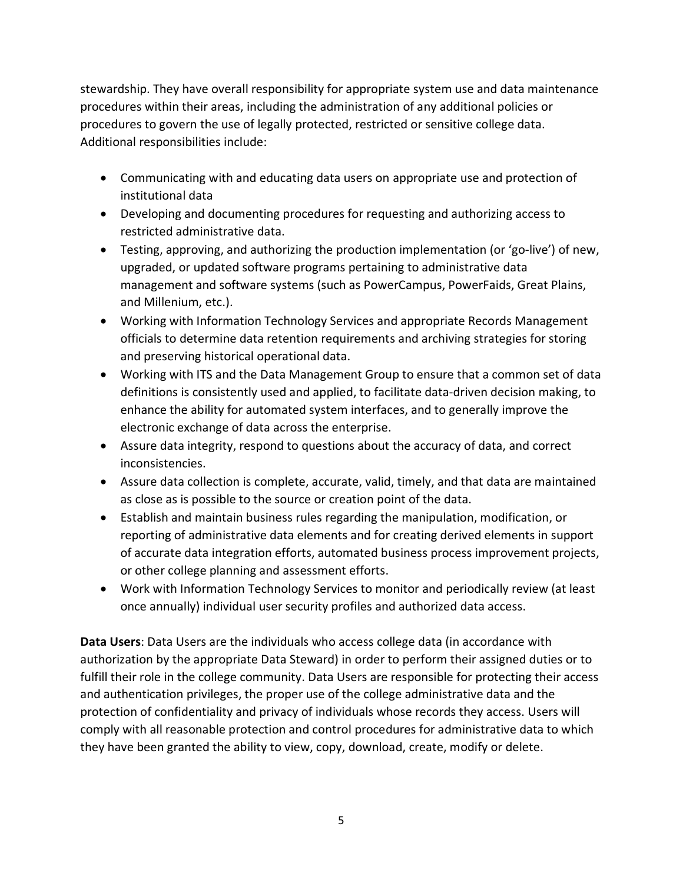stewardship. They have overall responsibility for appropriate system use and data maintenance procedures within their areas, including the administration of any additional policies or procedures to govern the use of legally protected, restricted or sensitive college data. Additional responsibilities include:

- Communicating with and educating data users on appropriate use and protection of institutional data
- Developing and documenting procedures for requesting and authorizing access to restricted administrative data.
- Testing, approving, and authorizing the production implementation (or 'go-live') of new, upgraded, or updated software programs pertaining to administrative data management and software systems (such as PowerCampus, PowerFaids, Great Plains, and Millenium, etc.).
- Working with Information Technology Services and appropriate Records Management officials to determine data retention requirements and archiving strategies for storing and preserving historical operational data.
- Working with ITS and the Data Management Group to ensure that a common set of data definitions is consistently used and applied, to facilitate data-driven decision making, to enhance the ability for automated system interfaces, and to generally improve the electronic exchange of data across the enterprise.
- Assure data integrity, respond to questions about the accuracy of data, and correct inconsistencies.
- Assure data collection is complete, accurate, valid, timely, and that data are maintained as close as is possible to the source or creation point of the data.
- Establish and maintain business rules regarding the manipulation, modification, or reporting of administrative data elements and for creating derived elements in support of accurate data integration efforts, automated business process improvement projects, or other college planning and assessment efforts.
- Work with Information Technology Services to monitor and periodically review (at least once annually) individual user security profiles and authorized data access.

**Data Users**: Data Users are the individuals who access college data (in accordance with authorization by the appropriate Data Steward) in order to perform their assigned duties or to fulfill their role in the college community. Data Users are responsible for protecting their access and authentication privileges, the proper use of the college administrative data and the protection of confidentiality and privacy of individuals whose records they access. Users will comply with all reasonable protection and control procedures for administrative data to which they have been granted the ability to view, copy, download, create, modify or delete.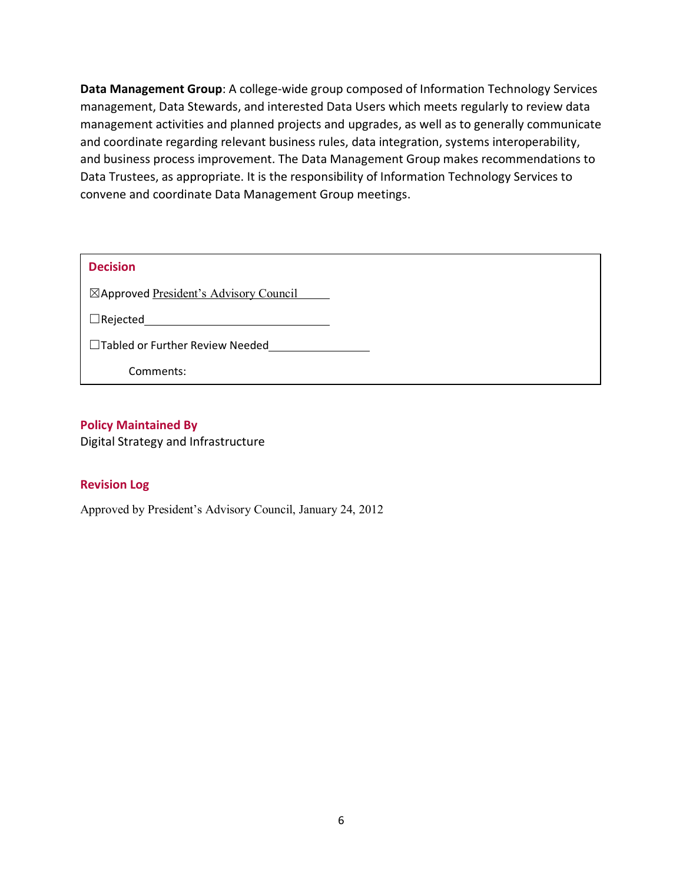**Data Management Group**: A college-wide group composed of Information Technology Services management, Data Stewards, and interested Data Users which meets regularly to review data management activities and planned projects and upgrades, as well as to generally communicate and coordinate regarding relevant business rules, data integration, systems interoperability, and business process improvement. The Data Management Group makes recommendations to Data Trustees, as appropriate. It is the responsibility of Information Technology Services to convene and coordinate Data Management Group meetings.

| <b>Decision</b>                        |
|----------------------------------------|
| ⊠Approved President's Advisory Council |
| $\Box$ Rejected                        |
| $\Box$ Tabled or Further Review Needed |
| Comments:                              |

### **Policy Maintained By**

Digital Strategy and Infrastructure

#### **Revision Log**

Approved by President's Advisory Council, January 24, 2012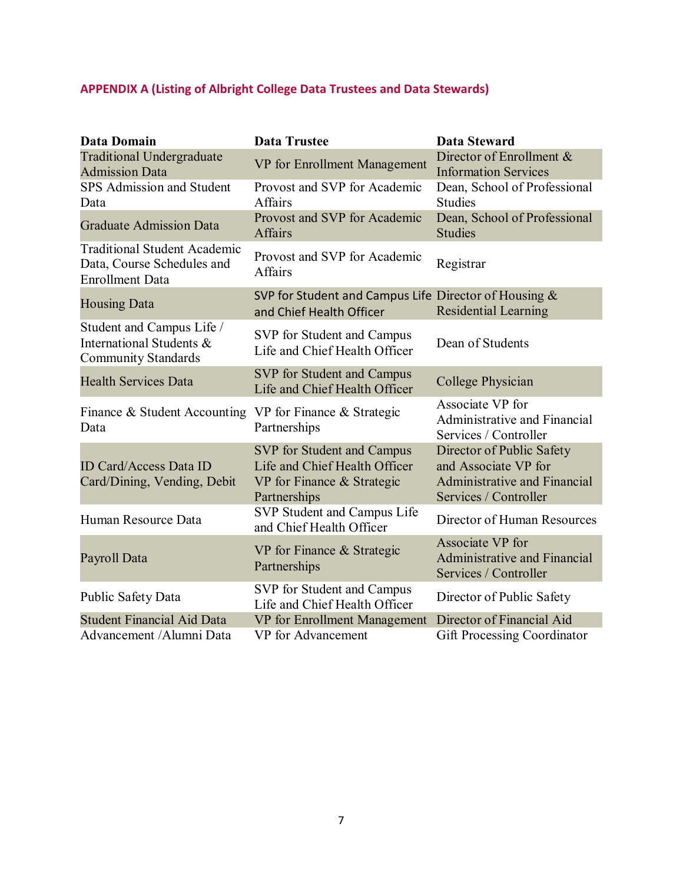# **APPENDIX A (Listing of Albright College Data Trustees and Data Stewards)**

| <b>Data Domain</b>                                                                          | <b>Data Trustee</b>                                                                                       | <b>Data Steward</b>                                                                                               |
|---------------------------------------------------------------------------------------------|-----------------------------------------------------------------------------------------------------------|-------------------------------------------------------------------------------------------------------------------|
| <b>Traditional Undergraduate</b><br><b>Admission Data</b>                                   | VP for Enrollment Management                                                                              | Director of Enrollment &<br><b>Information Services</b>                                                           |
| <b>SPS Admission and Student</b><br>Data                                                    | Provost and SVP for Academic<br><b>Affairs</b>                                                            | Dean, School of Professional<br><b>Studies</b>                                                                    |
| <b>Graduate Admission Data</b>                                                              | Provost and SVP for Academic<br><b>Affairs</b>                                                            | Dean, School of Professional<br><b>Studies</b>                                                                    |
| <b>Traditional Student Academic</b><br>Data, Course Schedules and<br><b>Enrollment Data</b> | Provost and SVP for Academic<br><b>Affairs</b>                                                            | Registrar                                                                                                         |
| <b>Housing Data</b>                                                                         | SVP for Student and Campus Life Director of Housing $\&$<br>and Chief Health Officer                      | <b>Residential Learning</b>                                                                                       |
| Student and Campus Life /<br>International Students &<br><b>Community Standards</b>         | SVP for Student and Campus<br>Life and Chief Health Officer                                               | Dean of Students                                                                                                  |
| <b>Health Services Data</b>                                                                 | SVP for Student and Campus<br>Life and Chief Health Officer                                               | College Physician                                                                                                 |
| Finance & Student Accounting<br>Data                                                        | VP for Finance & Strategic<br>Partnerships                                                                | Associate VP for<br>Administrative and Financial<br>Services / Controller                                         |
| <b>ID Card/Access Data ID</b><br>Card/Dining, Vending, Debit                                | SVP for Student and Campus<br>Life and Chief Health Officer<br>VP for Finance & Strategic<br>Partnerships | Director of Public Safety<br>and Associate VP for<br><b>Administrative and Financial</b><br>Services / Controller |
| Human Resource Data                                                                         | SVP Student and Campus Life<br>and Chief Health Officer                                                   | Director of Human Resources                                                                                       |
| Payroll Data                                                                                | VP for Finance & Strategic<br>Partnerships                                                                | Associate VP for<br>Administrative and Financial<br>Services / Controller                                         |
| Public Safety Data                                                                          | SVP for Student and Campus<br>Life and Chief Health Officer                                               | Director of Public Safety                                                                                         |
| <b>Student Financial Aid Data</b>                                                           | VP for Enrollment Management                                                                              | Director of Financial Aid                                                                                         |
| Advancement / Alumni Data                                                                   | VP for Advancement                                                                                        | <b>Gift Processing Coordinator</b>                                                                                |